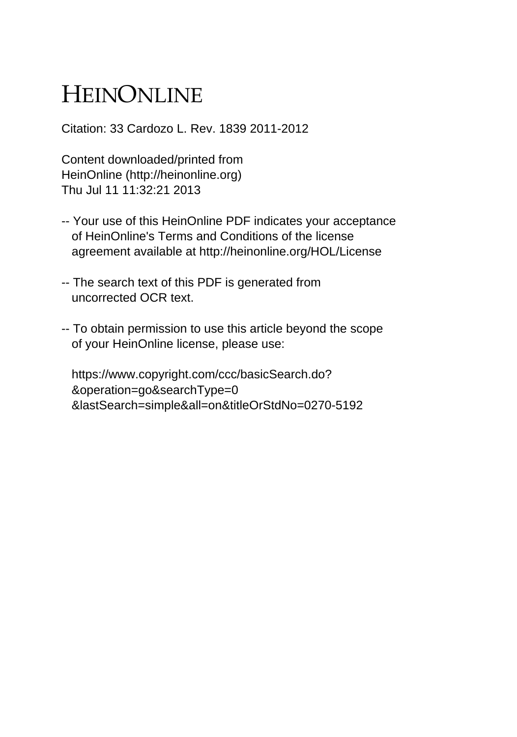## HEINONLINE

Citation: 33 Cardozo L. Rev. 1839 2011-2012

Content downloaded/printed from HeinOnline (http://heinonline.org) Thu Jul 11 11:32:21 2013

- -- Your use of this HeinOnline PDF indicates your acceptance of HeinOnline's Terms and Conditions of the license agreement available at http://heinonline.org/HOL/License
- -- The search text of this PDF is generated from uncorrected OCR text.
- -- To obtain permission to use this article beyond the scope of your HeinOnline license, please use:

 https://www.copyright.com/ccc/basicSearch.do? &operation=go&searchType=0 &lastSearch=simple&all=on&titleOrStdNo=0270-5192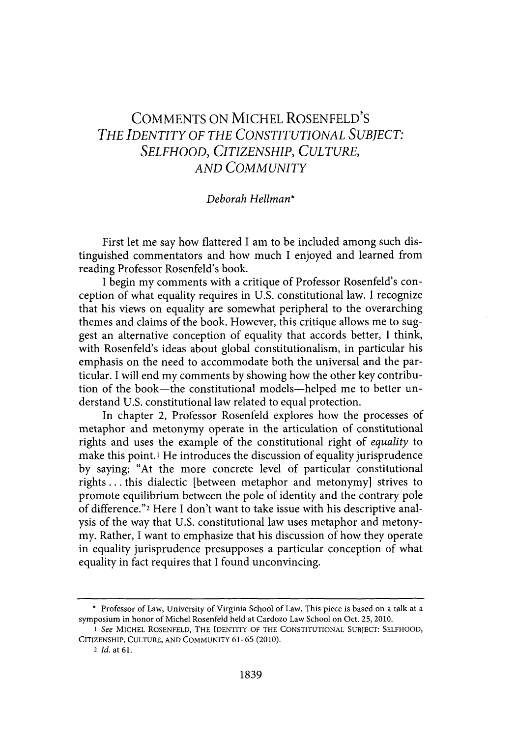## **COMMENTS ON MICHEL** ROSENFELD'S *THE IDENTITY OF THE CONSTITUTIONAL SUBJECT: SELFHOOD, CITIZENSHIP, CULTURE, AND COMMUNITY*

## *Deborah Hellman\**

First let me say how flattered I am to be included among such distinguished commentators and how much **I** enjoyed and learned from reading Professor Rosenfeld's book.

**I** begin my comments with a critique of Professor Rosenfeld's conception of what equality requires in **U.S.** constitutional law. **I** recognize that his views on equality are somewhat peripheral to the overarching themes and claims of the book. However, this critique allows me to suggest an alternative conception of equality that accords better, **I** think, with Rosenfeld's ideas about global constitutionalism, in particular his emphasis on the need to accommodate both the universal and the particular. I will end my comments **by** showing how the other key contribution of the book—the constitutional models—helped me to better understand **U.S.** constitutional law related to equal protection.

In chapter 2, Professor Rosenfeld explores how the processes of metaphor and metonymy operate in the articulation of constitutional rights and uses the example of the constitutional right of *equality to* make this point.' He introduces the discussion of equality jurisprudence **by** saying: "At the more concrete level of particular constitutional rights **...** this dialectic [between metaphor and metonymy] strives to promote equilibrium between the pole of identity and the contrary pole of difference."2 Here **I** don't want to take issue with his descriptive analysis of the way that **U.S.** constitutional law uses metaphor and metonymy. Rather, **I** want to emphasize that his discussion of how they operate in equality jurisprudence presupposes a particular conception of what equality in fact requires that I found unconvincing.

**<sup>\*</sup>** Professor of Law, University of Virginia School of Law. This piece is based on a talk at a symposium in honor of Michel Rosenfeld held at Cardozo Law School on Oct. **25,** 2010.

*<sup>1</sup> see* **MICHEL** ROSENFELD, THE IDENTITY OF THE **CONSTITUTIONAL SUBJECT: SELFHOOD,** CITIZENSHIP, **CULTURE, AND COMMUNITY 61-65** (2010).

<sup>2</sup> *Id.* at **61.**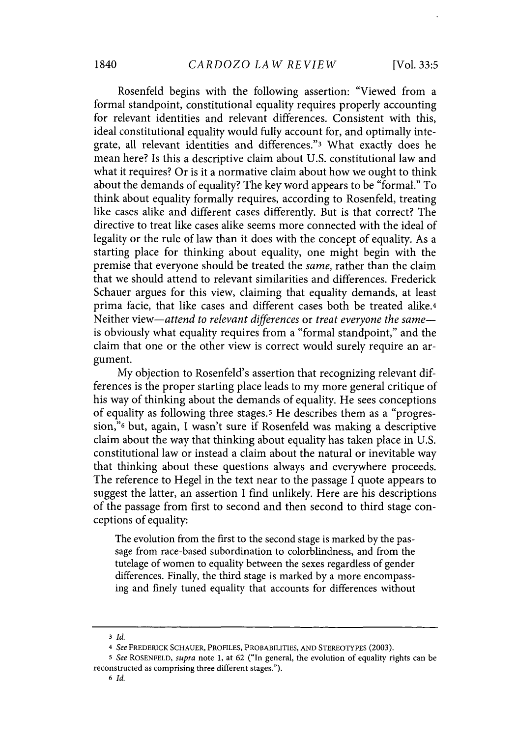Rosenfeld begins with the following assertion: "Viewed from a formal standpoint, constitutional equality requires properly accounting for relevant identities and relevant differences. Consistent with this, ideal constitutional equality would fully account for, and optimally integrate, all relevant identities and differences."3 What exactly does he mean here? Is this a descriptive claim about **U.S.** constitutional law and what it requires? Or is it a normative claim about how we ought to think about the demands of equality? The key word appears to be "formal." To think about equality formally requires, according to Rosenfeld, treating like cases alike and different cases differently. But is that correct? The directive to treat like cases alike seems more connected with the ideal of legality or the rule of law than it does with the concept of equality. As a starting place for thinking about equality, one might begin with the premise that everyone should be treated the *same,* rather than the claim that we should attend to relevant similarities and differences. Frederick Schauer argues for this view, claiming that equality demands, at least prima facie, that like cases and different cases both be treated alike.4 Neither view—attend to relevant differences or treat everyone the same is obviously what equality requires from a "formal standpoint," and the claim that one or the other view is correct would surely require an argument.

**My** objection to Rosenfeld's assertion that recognizing relevant differences is the proper starting place leads to my more general critique of his way of thinking about the demands of equality. He sees conceptions of equality as following three stages.<sup>5</sup> He describes them as a "progression,"6 but, again, **I** wasn't sure if Rosenfeld was making a descriptive claim about the way that thinking about equality has taken place in **U.S.** constitutional law or instead a claim about the natural or inevitable way that thinking about these questions always and everywhere proceeds. The reference to Hegel in the text near to the passage **I** quote appears to suggest the latter, an assertion I find unlikely. Here are his descriptions of the passage from first to second and then second to third stage conceptions of equality:

The evolution from the first to the second stage is marked **by** the passage from race-based subordination to colorblindness, and from the tutelage of women to equality between the sexes regardless of gender differences. Finally, the third stage is marked **by** a more encompassing and finely tuned equality that accounts for differences without

**<sup>3</sup>** *Id.*

*<sup>4</sup> See* FREDERICK **SCHAUER,** PROFILES, PROBABILITIES, **AND** STEREOTYPES **(2003).**

*<sup>5</sup> See ROSENFELD, supra* note **1,** at **62** ("In general, the evolution of equality rights can be reconstructed as comprising three different stages.").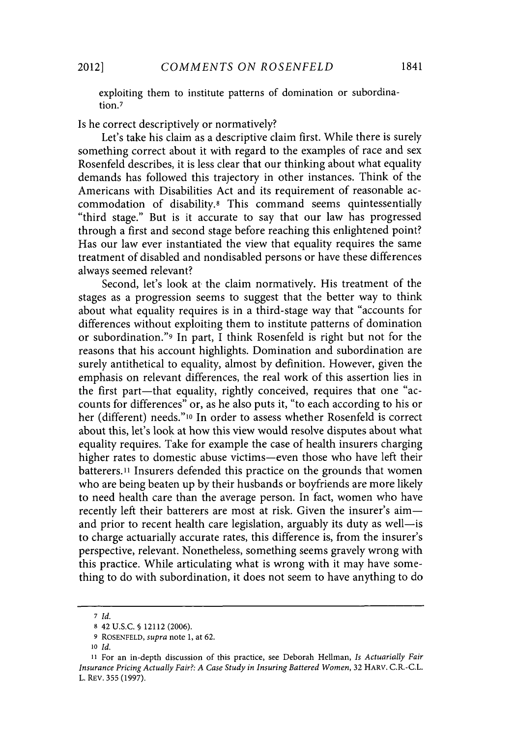exploiting them to institute patterns of domination or subordination.<sup>7</sup>

Is he correct descriptively or normatively?

Let's take his claim as a descriptive claim first. While there is surely something correct about it with regard to the examples of race and sex Rosenfeld describes, it is less clear that our thinking about what equality demands has followed this trajectory in other instances. Think of the Americans with Disabilities Act and its requirement of reasonable accommodation of disability.8 This command seems quintessentially "third stage." But is it accurate to say that our law has progressed through a first and second stage before reaching this enlightened point? Has our law ever instantiated the view that equality requires the same treatment of disabled and nondisabled persons or have these differences always seemed relevant?

Second, let's look at the claim normatively. His treatment of the stages as a progression seems to suggest that the better way to think about what equality requires is in a third-stage way that "accounts for differences without exploiting them to institute patterns of domination or subordination."9 In part, **I** think Rosenfeld is right but not for the reasons that his account highlights. Domination and subordination are surely antithetical to equality, almost **by** definition. However, given the emphasis on relevant differences, the real work of this assertion lies in the first part-that equality, rightly conceived, requires that one "accounts for differences" or, as he also puts it, "to each according to his or her (different) needs."<sup>10</sup> In order to assess whether Rosenfeld is correct about this, let's look at how this view would resolve disputes about what equality requires. Take for example the case of health insurers charging higher rates to domestic abuse victims-even those who have left their batterers.11 Insurers defended this practice on the grounds that women who are being beaten up **by** their husbands or boyfriends are more likely to need health care than the average person. In fact, women who have recently left their batterers are most at risk. Given the insurer's aimand prior to recent health care legislation, arguably its duty as well-is to charge actuarially accurate rates, this difference is, from the insurer's perspective, relevant. Nonetheless, something seems gravely wrong with this practice. While articulating what is wrong with it may have something to do with subordination, it does not seem to have anything to do

*<sup>7</sup>Id.*

**<sup>8</sup>** 42 **U.S.C. §** 12112 **(2006).**

**<sup>9</sup> ROSENFELD,** *supra* note **1,** at **62.**

*<sup>10</sup> Id.*

**<sup>11</sup>** For an in-depth discussion of this practice, see Deborah Hellman, *Is Actuarially Fair Insurance Pricing Actually Fair?: A Case Study in Insuring Battered Women,* **32** HARV. C.R.-C.L. L. REV. **355 (1997).**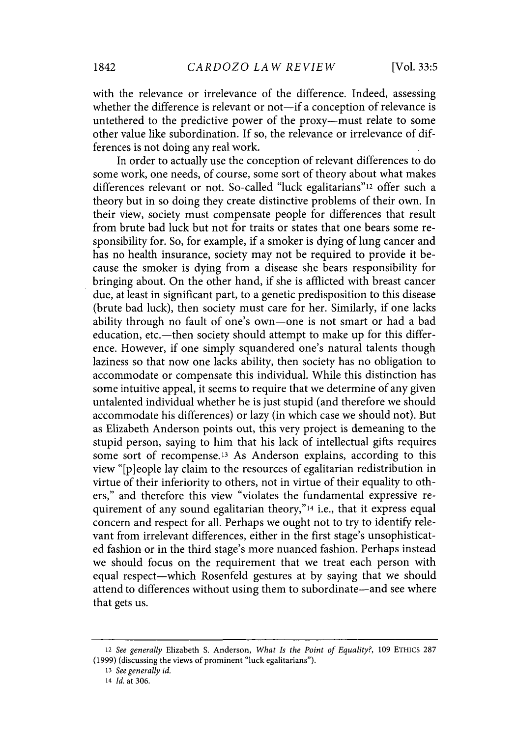with the relevance or irrelevance of the difference. Indeed, assessing whether the difference is relevant or not-if a conception of relevance is untethered to the predictive power of the proxy--must relate to some other value like subordination. **If** so, the relevance or irrelevance of differences is not doing any real work.

In order to actually use the conception of relevant differences to do some work, one needs, of course, some sort of theory about what makes differences relevant or not. So-called "luck egalitarians"<sup>12</sup> offer such a theory but in so doing they create distinctive problems of their own. In their view, society must compensate people for differences that result from brute bad luck but not for traits or states that one bears some responsibility for. So, for example, if a smoker is dying of lung cancer and has no health insurance, society may not be required to provide it because the smoker is dying from a disease she bears responsibility for bringing about. On the other hand, if she is afflicted with breast cancer due, at least in significant part, to a genetic predisposition to this disease (brute bad luck), then society must care for her. Similarly, if one lacks ability through no fault of one's own-one is not smart or had a bad education, etc.--then society should attempt to make up for this difference. However, if one simply squandered one's natural talents though laziness so that now one lacks ability, then society has no obligation to accommodate or compensate this individual. While this distinction has some intuitive appeal, it seems to require that we determine of any given untalented individual whether he is just stupid (and therefore we should accommodate his differences) or lazy (in which case we should not). But as Elizabeth Anderson points out, this very project is demeaning to the stupid person, saying to him that his lack of intellectual gifts requires some sort of recompense.13 As Anderson explains, according to this view "[p]eople lay claim to the resources of egalitarian redistribution in virtue of their inferiority to others, not in virtue of their equality to others," and therefore this view "violates the fundamental expressive requirement of any sound egalitarian theory,"14 i.e., that it express equal concern and respect for all. Perhaps we ought not to try to identify relevant from irrelevant differences, either in the first stage's unsophisticated fashion or in the third stage's more nuanced fashion. Perhaps instead we should focus on the requirement that we treat each person with equal respect-which Rosenfeld gestures at **by** saying that we should attend to differences without using them to subordinate—and see where that gets us.

*<sup>12</sup> See generally* Elizabeth **S.** Anderson, *What Is the Point of Equality?,* **109 ETHICS 287 (1999)** (discussing the views of prominent "luck egalitarians").

*<sup>13</sup>See generally id.*

<sup>14</sup>*Id.* at **306.**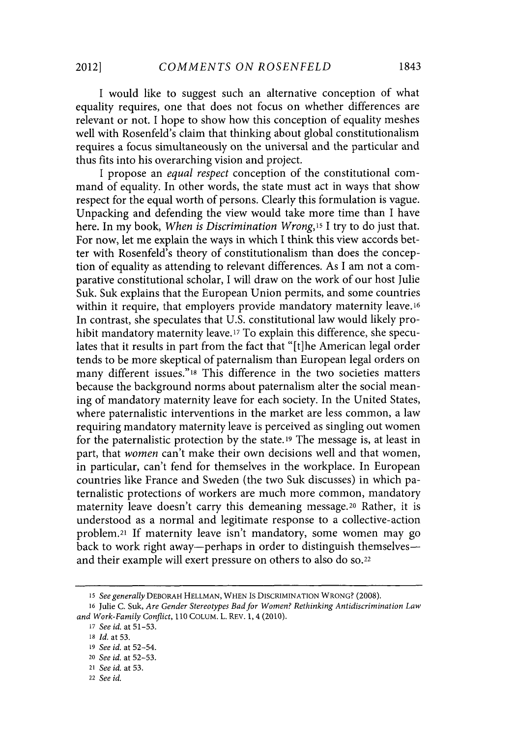**I** would like to suggest such an alternative conception of what equality requires, one that does not focus on whether differences are relevant or not. **I** hope to show how this conception of equality meshes well with Rosenfeld's claim that thinking about global constitutionalism requires a focus simultaneously on the universal and the particular and thus fits into his overarching vision and project.

**I** propose an *equal respect* conception of the constitutional command of equality. In other words, the state must act in ways that show respect for the equal worth of persons. Clearly this formulation is vague. Unpacking and defending the view would take more time than **I** have here. In my book, *When is Discrimination Wrong,15* **I** try to do just that. For now, let me explain the ways in which **I** think this view accords better with Rosenfeld's theory of constitutionalism than does the conception of equality as attending to relevant differences. As **I** am not a comparative constitutional scholar, I will draw on the work of our host Julie Suk. Suk explains that the European Union permits, and some countries within it require, that employers provide mandatory maternity leave.<sup>16</sup> In contrast, she speculates that **U.S.** constitutional law would likely prohibit mandatory maternity leave.17 To explain this difference, she speculates that it results in part from the fact that "[t]he American legal order tends to be more skeptical of paternalism than European legal orders on many different issues."<sup>18</sup> This difference in the two societies matters because the background norms about paternalism alter the social meaning of mandatory maternity leave for each society. In the United States, where paternalistic interventions in the market are less common, a law requiring mandatory maternity leave is perceived as singling out women for the paternalistic protection **by** the state. **19** The message is, at least in part, that *women* can't make their own decisions well and that women, in particular, can't fend for themselves in the workplace. In European countries like France and Sweden (the two Suk discusses) in which paternalistic protections of workers are much more common, mandatory maternity leave doesn't carry this demeaning message. <sup>2</sup> 0 Rather, it is understood as a normal and legitimate response to a collective-action problem.21 **If** maternity leave isn't mandatory, some women may go back to work right away-perhaps in order to distinguish themselvesand their example will exert pressure on others to also do so.<sup>22</sup>

*<sup>15</sup>See generally DEBORAH* **HELLMAN, WHEN** Is DISCRIMINATION WRONG? **(2008).**

**<sup>16</sup>**Julie **C.** Suk, *Are Gender Stereotypes Bad for Women? Rethinking Antidiscrimination Law and Work-Family Conflict, 110* **COLUM.** L. REV. **1,** 4 (2010).

**<sup>17</sup>***See id.* at **51-53.**

**<sup>18</sup>** *Id.* at **53.**

**<sup>19</sup>** *See id.* at 52-54.

<sup>20</sup>*See id.* at **52-53.**

<sup>21</sup>*See id.* at **53.**

<sup>22</sup>*See id.*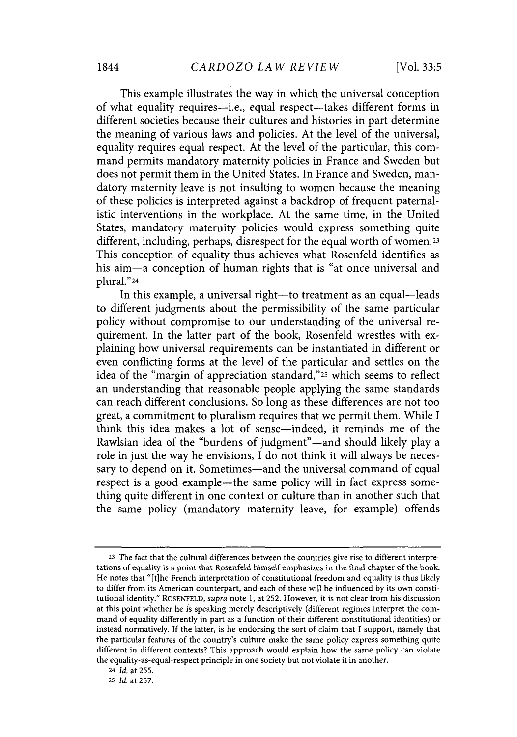This example illustrates the way in which the universal conception of what equality requires-i.e., equal respect-takes different forms in different societies because their cultures and histories in part determine the meaning of various laws and policies. At the level of the universal, equality requires equal respect. At the level of the particular, this command permits mandatory maternity policies in France and Sweden but does not permit them in the United States. In France and Sweden, mandatory maternity leave is not insulting to women because the meaning of these policies is interpreted against a backdrop of frequent paternalistic interventions in the workplace. At the same time, in the United States, mandatory maternity policies would express something quite different, including, perhaps, disrespect for the equal worth of women.<sup>23</sup> This conception of equality thus achieves what Rosenfeld identifies as his aim-a conception of human rights that is "at once universal and plural."24

In this example, a universal right-to treatment as an equal-leads to different judgments about the permissibility of the same particular policy without compromise to our understanding of the universal requirement. In the latter part of the book, Rosenfeld wrestles with explaining how universal requirements can be instantiated in different or even conflicting forms at the level of the particular and settles on the idea of the "margin of appreciation standard,"25 which seems to reflect an understanding that reasonable people applying the same standards can reach different conclusions. So long as these differences are not too great, a commitment to pluralism requires that we permit them. While **I** think this idea makes a lot of sense-indeed, it reminds me of the Rawlsian idea of the "burdens of judgment"-and should likely play a role in just the way he envisions, **I** do not think it will always be necessary to depend on it. Sometimes-and the universal command of equal respect is a good example-the same policy will in fact express something quite different in one context or culture than in another such that the same policy (mandatory maternity leave, for example) offends

**<sup>23</sup>** The fact that the cultural differences between the countries give rise to different interpretations of equality is a point that Rosenfeld himself emphasizes in the final chapter of the book. He notes that "[t]he French interpretation of constitutional freedom and equality is thus likely to differ from its American counterpart, and each of these will be influenced **by** its own constitutional identity." ROSENFELD, *supra* note **1,** at **252.** However, it is not clear from his discussion at this point whether he **is** speaking merely descriptively (different regimes interpret the command of equality differently in part as a function of their different constitutional identities) or instead normatively. **If** the latter, is he endorsing the sort of claim that **I** support, namely that the particular features of the country's culture make the same policy express something quite different in different contexts? This approach would explain how the same policy can violate the equality-as-equal-respect principle in one society but not violate it in another.

<sup>24</sup>*Id.* at **255.**

**<sup>25</sup>***Id.* at **257.**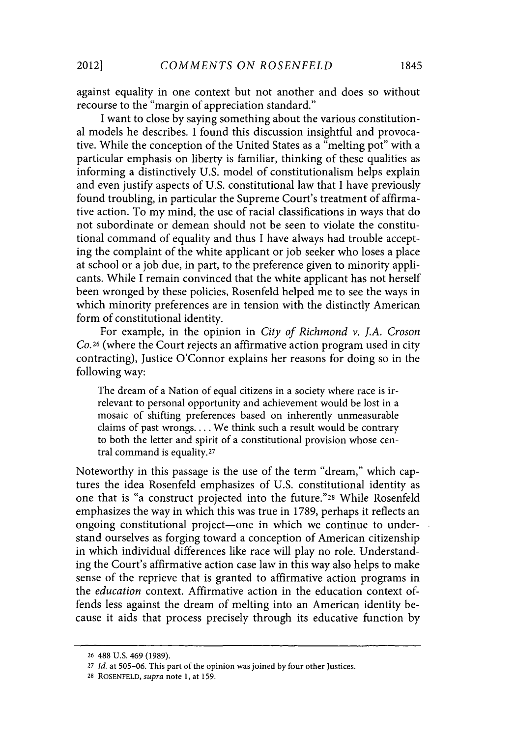against equality in one context but not another and does so without recourse to the "margin of appreciation standard."

I want to close **by** saying something about the various constitutional models he describes. **I** found this discussion insightful and provocative. While the conception of the United States as a "melting pot" with a particular emphasis on liberty is familiar, thinking of these qualities as informing a distinctively **U.S.** model of constitutionalism helps explain and even justify aspects of **U.S.** constitutional law that **I** have previously found troubling, in particular the Supreme Court's treatment of affirmative action. To my mind, the use of racial classifications in ways that do not subordinate or demean should not be seen to violate the constitutional command of equality and thus **I** have always had trouble accepting the complaint of the white applicant or **job** seeker who loses a place at school or a **job** due, in part, to the preference given to minority applicants. While **I** remain convinced that the white applicant has not herself been wronged **by** these policies, Rosenfeld helped me to see the ways in which minority preferences are in tension with the distinctly American form of constitutional identity.

For example, in the opinion in *City of Richmond v. J.A. Croson Co.26* (where the Court rejects an affirmative action program used in city contracting), Justice O'Connor explains her reasons for doing so in the following way:

The dream of a Nation of equal citizens in a society where race is irrelevant to personal opportunity and achievement would be lost in a mosaic of shifting preferences based on inherently unmeasurable claims of past wrongs. .. **.**We think such a result would be contrary to both the letter and spirit of a constitutional provision whose central command is equality.27

Noteworthy in this passage is the use of the term "dream," which captures the idea Rosenfeld emphasizes of **U.S.** constitutional identity as one that is "a construct projected into the **future."28** While Rosenfeld emphasizes the way in which this was true in **1789,** perhaps it reflects an ongoing constitutional project—one in which we continue to understand ourselves as forging toward a conception of American citizenship in which individual differences like race will play no role. Understanding the Court's affirmative action case law in this way also helps to make sense of the reprieve that is granted to affirmative action programs in *the education* context. Affirmative action in the education context offends less against the dream of melting into an American identity because it aids that process precisely through its educative function **by**

**<sup>26 488</sup> U.S.** 469 **(1989).**

**<sup>27</sup>***Id.* at **505-06.** This part of the opinion was joined **by** four other Justices.

**<sup>28</sup> ROSENFELD,** *supra* note **1,** at **159.**